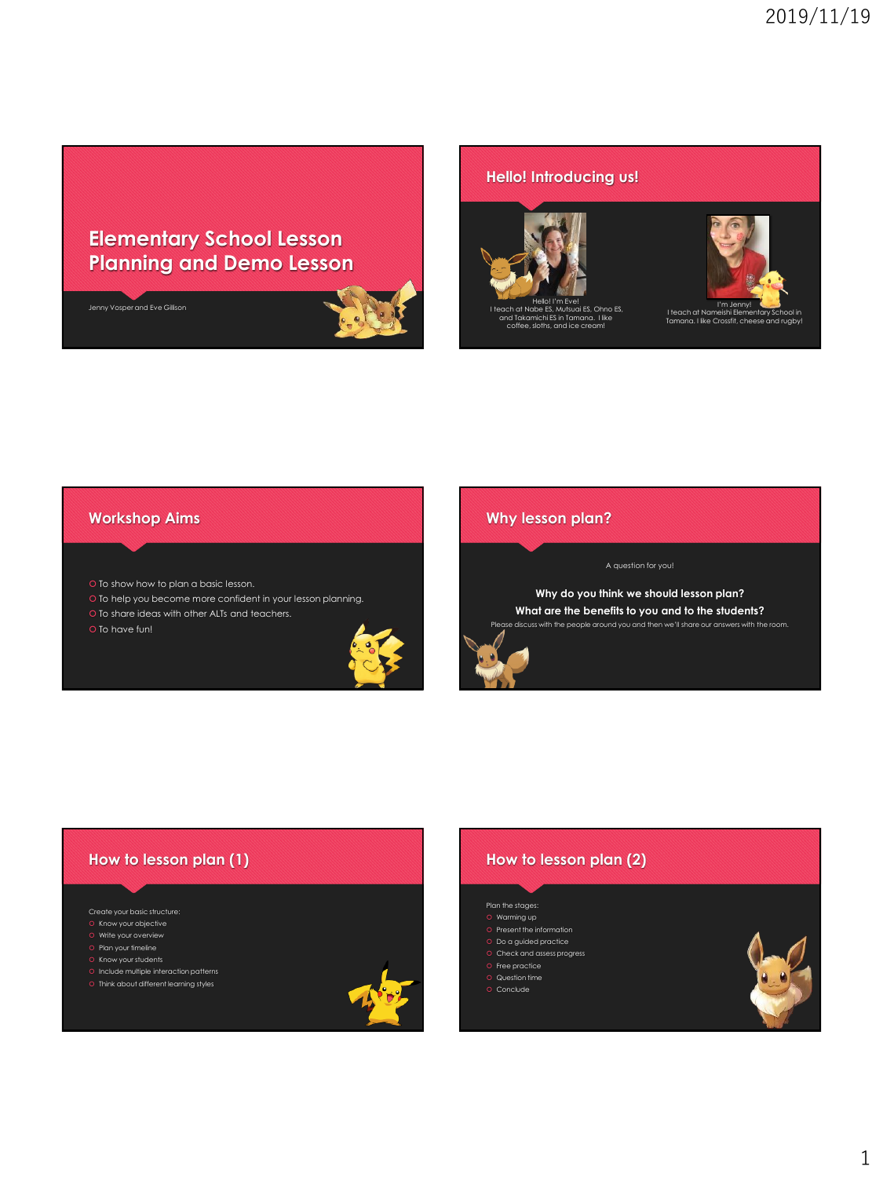# **Elementary School Lesson Planning and Demo Lesson**

Jenny Vosper and Eve Gillison



**Hello! Introducing us!**



I teach at Nabe ES, Mutsuai ES, Ohno ES, and Takamichi ES in Tamana. I like coffee, sloths, and ice cream!



#### **Workshop Aims**

O To show how to plan a basic lesson.

**How to lesson plan (1)**

Create your basic structure: O Know your objective **O** Write your overview O Plan your timeline

 $\circ$  Include multiple interaction patterns  $\hbox{\small\tt O}$  Think about different learning styles

O To help you become more confident in your lesson planning.

O To share ideas with other ALTs and teachers.

O To have fun!



### **Why lesson plan?**

A question for you!

**Why do you think we should lesson plan? What are the benefits to you and to the students?**  .<br>Uss with the people around you and then we'll share our answers with the room.



## **How to lesson plan (2)** Plan the stages: Warming up Present the information **Do a guided practice** O Check and assess progress **O** Free practice Question time O Conclude